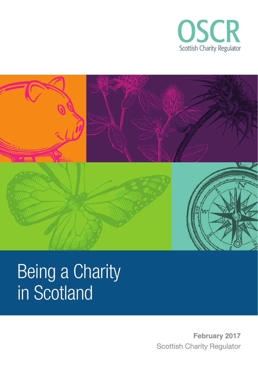



# Being a Charity in Scotland

**February 2017** Scottish Charity Regulator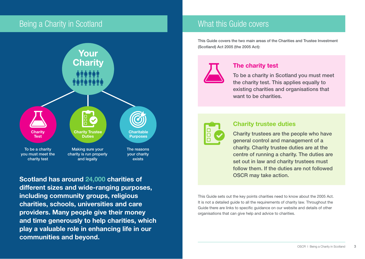## Being a Charity in Scotland



Scotland has around 24,000 charities of different sizes and wide-ranging purposes, including community groups, religious charities, schools, universities and care providers. Many people give their money and time generously to help charities, which play a valuable role in enhancing life in our communities and beyond.

## What this Guide covers

This Guide covers the two main areas of the Charities and Trustee Investment (Scotland) Act 2005 (the 2005 Act):



### The charity test

To be a charity in Scotland you must meet the charity test. This applies equally to existing charities and organisations that want to be charities.



### Charity trustee duties

Charity trustees are the people who have general control and management of a charity. Charity trustee duties are at the centre of running a charity. The duties are set out in law and charity trustees must follow them. If the duties are not followed OSCR may take action.

This Guide sets out the key points charities need to know about the 2005 Act. It is not a detailed guide to all the requirements of charity law. Throughout the Guide there are links to specific quidance on our website and details of other organisations that can give help and advice to charities.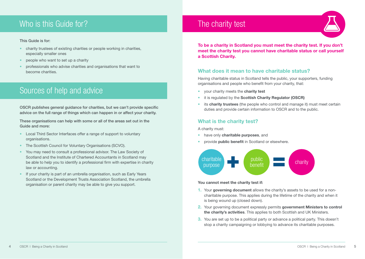## Who is this Guide for? The charity test

#### This Guide is for:

- charity trustees of existing charities or people working in charities, especially smaller ones
- people who want to set up a charity
- professionals who advise charities and organisations that want to become charities.

## Sources of help and advice

OSCR publishes general guidance for charities, but we can't provide specific advice on the full range of things which can happen in or affect your charity.

These organisations can help with some or all of the areas set out in the Guide and more:

- Local Third Sector Interfaces offer a range of support to voluntary organisations.
- The Scottish Council for Voluntary Organisations (SCVO).
- You may need to consult a professional advisor. The Law Society of Scotland and the Institute of Chartered Accountants in Scotland may be able to help you to identify a professional firm with expertise in charity law or accounting.
- If your charity is part of an umbrella organisation, such as Early Years Scotland or the Development Trusts Association Scotland, the umbrella organisation or parent charity may be able to give you support.



To be a charity in Scotland you must meet the charity test. If you don't meet the charity test you cannot have charitable status or call yourself a Scottish Charity.

### What does it mean to have charitable status?

Having charitable status in Scotland tells the public, your supporters, funding organisations and people who benefit from your charity, that:

- your charity meets the charity test
- it is regulated by the Scottish Charity Regulator (OSCR)
- its charity trustees (the people who control and manage it) must meet certain duties and provide certain information to OSCR and to the public.

### What is the charity test?

A charity must:

- have only charitable purposes, and
- provide **public benefit** in Scotland or elsewhere.



#### You cannot meet the charity test if:

- 1. Your governing document allows the charity's assets to be used for a noncharitable purpose. This applies during the lifetime of the charity and when it is being wound up (closed down).
- 2. Your governing document expressly permits government Ministers to control the charity's activities. This applies to both Scottish and UK Ministers.
- 3. You are set up to be a political party or advance a political party. This doesn't stop a charity campaigning or lobbying to advance its charitable purposes.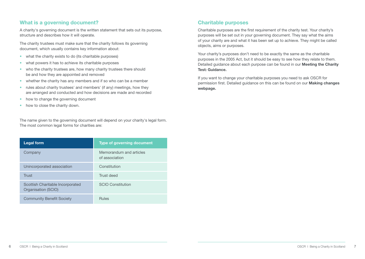### What is a governing document?

A charity's governing document is the written statement that sets out its purpose, structure and describes how it will operate.

The charity trustees must make sure that the charity follows its governing document, which usually contains key information about:

- what the charity exists to do (its charitable purposes)
- what powers it has to achieve its charitable purposes
- who the charity trustees are, how many charity trustees there should be and how they are appointed and removed
- whether the charity has any members and if so who can be a member
- rules about charity trustees' and members' (if any) meetings, how they are arranged and conducted and how decisions are made and recorded
- how to change the governing document
- how to close the charity down.

The name given to the governing document will depend on your charity's legal form. The most common legal forms for charities are:

| <b>Legal form</b>                                       | <b>Type of governing document</b>         |
|---------------------------------------------------------|-------------------------------------------|
| Company                                                 | Memorandum and articles<br>of association |
| Unincorporated association                              | Constitution                              |
| Trust                                                   | Trust deed                                |
| Scottish Charitable Incorporated<br>Organisation (SCIO) | <b>SCIO Constitution</b>                  |
| <b>Community Benefit Society</b>                        | <b>Rules</b>                              |

### Charitable purposes

Charitable purposes are the first requirement of the charity test. Your charity's purposes will be set out in your governing document. They say what the aims of your charity are and what it has been set up to achieve. They might be called objects, aims or purposes.

Your charity's purposes don't need to be exactly the same as the charitable purposes in the 2005 Act, but it should be easy to see how they relate to them. Detailed quidance about each purpose can be found in our Meeting the Charity Test: Guidance.

If you want to change your charitable purposes you need to ask OSCR for permission first. Detailed guidance on this can be found on our Making changes webpage.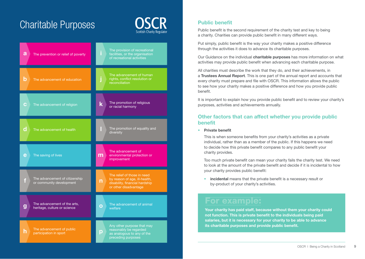## Charitable Purposes



### **Public benefit**

Public benefit is the second requirement of the charity test and key to being a charity. Charities can provide public benefit in many different ways.

Put simply, public benefit is the way your charity makes a positive difference through the activities it does to advance its charitable purposes.

Our Guidance on the individual **charitable purposes** has more information on what activities may provide public benefit when advancing each charitable purpose.

All charities must describe the work that they do, and their achievements, in a Trustees Annual Report. This is one part of the annual report and accounts that every charity must prepare and file with OSCR. This information allows the public to see how your charity makes a positive difference and how you provide public **benefit** 

It is important to explain how you provide public benefit and to review your charity's purposes, activities and achievements annually.

### Other factors that can affect whether you provide public **benefit**

• Private benefit

This is when someone benefits from your charity's activities as a private individual, rather than as a member of the public. If this happens we need to decide how this private benefit compares to any public benefit your charity provides.

Too much private benefit can mean your charity fails the charity test. We need to look at the amount of the private benefit and decide if it is incidental to how your charity provides public benefit:

incidental means that the private benefit is a necessary result or by-product of your charity's activities.

## For example:

Your charity has paid staff, because without them your charity could not function. This is private benefit to the individuals being paid salaries, but it is necessary for your charity to be able to advance its charitable purposes and provide public benefit.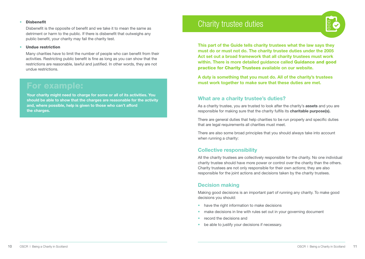#### **Disbenefit**

Disbenefit is the opposite of benefit and we take it to mean the same as detriment or harm to the public. If there is disbenefit that outweighs any public benefit, your charity may fail the charity test.

#### • Undue restriction

Many charities have to limit the number of people who can benefit from their activities. Restricting public benefit is fine as long as you can show that the restrictions are reasonable, lawful and justified. In other words, they are not undue restrictions.

## For example:

Your charity might need to charge for some or all of its activities. You should be able to show that the charges are reasonable for the activity and, where possible, help is given to those who can't afford the charges.

## Charity trustee duties

This part of the Guide tells charity trustees what the law says they must do or must not do. The charity trustee duties under the 2005 Act set out a broad framework that all charity trustees must work within. There is more detailed guidance called Guidance and good practice for Charity Trustees available on our website.

A duty is something that you must do. All of the charity's trustees must work together to make sure that these duties are met.

#### What are a charity trustee's duties?

As a charity trustee, you are trusted to look after the charity's **assets** and you are responsible for making sure that the charity fulfils its charitable purpose(s).

There are general duties that help charities to be run properly and specific duties that are legal requirements all charities must meet.

There are also some broad principles that you should always take into account when running a charity:

### Collective responsibility

All the charity trustees are collectively responsible for the charity. No one individual charity trustee should have more power or control over the charity than the others. Charity trustees are not only responsible for their own actions; they are also responsible for the joint actions and decisions taken by the charity trustees.

#### Decision making

Making good decisions is an important part of running any charity. To make good decisions you should:

- have the right information to make decisions
- make decisions in line with rules set out in your governing document
- record the decisions and
- be able to justify your decisions if necessary.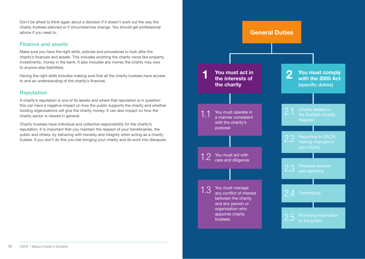Don't be afraid to think again about a decision if it doesn't work out the way the charity trustees planned or if circumstances change. You should get professional advice if you need to.

#### Finance and assets

Make sure you have the right skills, policies and procedures to look after the charity's finances and assets. This includes anything the charity owns like property, investments, money in the bank. It also includes any money the charity may owe to anyone else (liabilities).

Having the right skills includes making sure that all the charity trustees have access to and an understanding of the charity's finances.

### Reputation

A charity's reputation is one of its assets and where that reputation is in question this can have a negative impact on how the public supports the charity and whether funding organisations will give the charity money. It can also impact on how the charity sector is viewed in general.

Charity trustees have individual and collective responsibility for the charity's reputation. It is important that you maintain the respect of your beneficiaries, the public and others, by behaving with honesty and integrity when acting as a charity trustee. If you don't do this you risk bringing your charity and its work into disrepute.

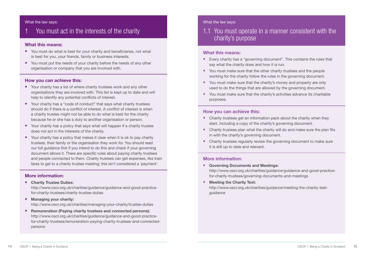#### What the law says:

## You must act in the interests of the charity

#### What this means:

- You must do what is best for your charity and beneficiaries, not what is best for you, your friends, family or business interests.
- You must put the needs of your charity before the needs of any other organisation or company that you are involved with.

#### How you can achieve this:

- Your charity has a list of where charity trustees work and any other organisations they are involved with. This list is kept up to date and will help to identify any potential conflicts of interest.
- Your charity has a "code of conduct" that says what charity trustees should do if there is a conflict of interest. A conflict of interest is when a charity trustee might not be able to do what is best for the charity because he or she has a duty to another organisation or person.
- Your charity has a policy that says what will happen if a charity trustee does not act in the interests of the charity.
- Your charity has a policy that makes it clear when it is ok to pay charity trustees, their family or the organisation they work for. You should read our full guidance first if you intend to do this and check if your governing document allows it. There are specific rules about paying charity trustees and people connected to them. Charity trustees can get expenses, like train fares to get to a charity trustee meeting; this isn't considered a 'payment'.

#### More information:

• Charity Trustee Duties:

[http://www.oscr.org.uk/charities/guidance/guidance-and-good-practice](http://www.oscr.org.uk/charities/guidance/guidance-and-good-practice-for-charity-trustees/charity-trustee-duties)for[-charity-trustees/charity-trustee-duties](http://www.oscr.org.uk/charities/guidance/guidance-and-good-practice-for-charity-trustees/charity-trustee-duties)

- Managing your charity: <http://www.oscr.org.uk/charities/managing-your-charity/trustee-duties>
- Remuneration (Paying charity trustees and connected persons): [http://www.oscr.org.uk/charities/guidance/guidance-and-good-pra](http://www.oscr.org.uk/charities/guidance/guidance-and-good-practice-for-charity-trustees/remuneration-paying-charity-trustees-and-connected-personsWhat)ctice[for-charity-trustees/remuneration-paying-charity-trustees-and-connected](http://www.oscr.org.uk/charities/guidance/guidance-and-good-practice-for-charity-trustees/remuneration-paying-charity-trustees-and-connected-persons)persons

#### [What th](http://www.oscr.org.uk/charities/guidance/guidance-and-good-practice-for-charity-trustees/remuneration-paying-charity-trustees-and-connected-personsWhat)e law says:

## 1.1 You must operate in a manner consistent with the charity's purpose

#### What this means:

- Every charity has a "governing document". This contains the rules that say what the charity does and how it is run.
- You must make sure that the other charity trustees and the people working for the charity follow the rules in the governing document.
- You must make sure that the charity's money and property are only used to do the things that are allowed by the governing document.
- You must make sure that the charity's activities advance its charitable purposes.

#### How you can achieve this:

- Charity trustees get an information pack about the charity when they start, including a copy of the charity's governing document.
- Charity trustees plan what the charity will do and make sure the plan fits in with the charity's governing document.
- Charity trustees regularly review the governing document to make sure it is still up to date and relevant.

#### More information:

• Governing Documents and Meetings:

[http://www.oscr.org.uk/charities/guidance/guidance-and-good-practice](http://www.oscr.org.uk/charities/guidance/guidance-and-good-practice-for-charity-trustees/governing-documents-and-meetings)for-[charity-trustees/governing-documents-and-meetings](http://www.oscr.org.uk/charities/guidance/guidance-and-good-practice-for-charity-trustees/governing-documents-and-meetings)

• Meeting the Charity Test: [http://www.oscr.org.uk/charities/guidance/meeting-the-charity-test](http://www.oscr.org.uk/charities/guidance/meeting-the-charity-test-guidance)guidance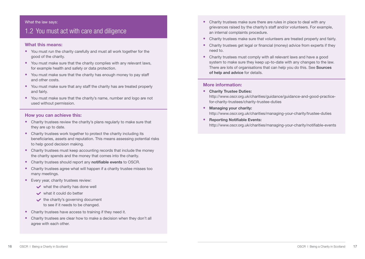## 1.2 You must act with care and diligence

#### What this means:

- You must run the charity carefully and must all work together for the good of the charity.
- You must make sure that the charity complies with any relevant laws, for example health and safety or data protection.
- You must make sure that the charity has enough money to pay staff and other costs.
- You must make sure that any staff the charity has are treated properly and fairly.
- You must make sure that the charity's name, number and logo are not used without permission.

#### How you can achieve this:

- Charity trustees review the charity's plans regularly to make sure that they are up to date.
- Charity trustees work together to protect the charity including its beneficiaries, assets and reputation. This means assessing potential risks to help good decision making.
- Charity trustees must keep accounting records that include the money the charity spends and the money that comes into the charity.
- Charity trustees should report any notifiable events to OSCR.
- Charity trustees agree what will happen if a charity trustee misses too many meetings.
- Every year, charity trustees review:
	- $\vee$  what the charity has done well
	- what it could do better
	- $\blacktriangleright$  the charity's governing document to see if it needs to be changed.
- Charity trustees have access to training if they need it.
- Charity trustees are clear how to make a decision when they don't all agree with each other.
- Charity trustees make sure there are rules in place to deal with any grievances raised by the charity's staff and/or volunteers. For example, an internal complaints procedure.
- Charity trustees make sure that volunteers are treated properly and fairly.
- Charity trustees get legal or financial (money) advice from experts if they need to.
- Charity trustees must comply with all relevant laws and have a good system to make sure they keep up-to-date with any changes to the law. There are lots of organisations that can help you do this. See **Sources** of help and advice for details.

#### More information:

• Charity Trustee Duties:

[http://www.oscr.org.uk/charities/guidance/guidance-and-good-practice](http://www.oscr.org.uk/charities/guidance/guidance-and-good-practice-for-charity-trustees/charity-trustee-duties)for-[charity-trustees/charity-trustee-duties](http://www.oscr.org.uk/charities/guidance/guidance-and-good-practice-for-charity-trustees/charity-trustee-duties)

- Managing your charity: <http://www.oscr.org.uk/charities/managing-your-charity/trustee-duties>
- Reporting Notifiable Events: <http://www.oscr.org.uk/charities/managing-your-charity/notifiable-events>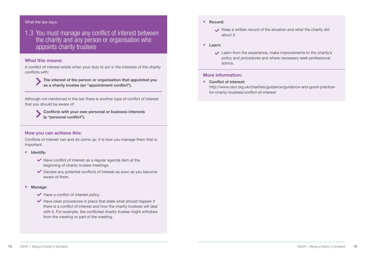#### What the law says:

1.3 You must manage any conflict of interest between the charity and any person or organisation who appoints charity trustees

#### What this means:

A conflict of interest exists when your duty to act in the interests of the charity conflicts with:

> The interest of the person or organisation that appointed you as a charity trustee (an "appointment conflict").

Although not mentioned in the law there is another type of conflict of interest that you should be aware of:

> Conflicts with your own personal or business interests (a "personal conflict").

#### How you can achieve this:

Conflicts of interest can and do come up: it is how you manage them that is important.

- Identify:
	- $\blacktriangleright$  Have conflict of interest as a regular agenda item at the beginning of charity trustee meetings.
	- Declare any potential conflicts of interest as soon as you become aware of them.
- Manage:
	- $\blacktriangleright$  Have a conflict of interest policy.
	- $\blacktriangleright$  Have clear procedures in place that state what should happen if there is a conflict of interest and how the charity trustees will deal with it. For example, the conflicted charity trustee might withdraw from the meeting or part of the meeting.
- Record:
	- Keep a written record of the situation and what the charity did about it.
- Learn:
	- Learn from the experience, make improvements to the charity's policy and procedures and where necessary seek professional advice.

#### More information:

• Conflict of interest:

[http://www.oscr.org.uk/charities/guidance/guidance-and-good-practice](http://www.oscr.org.uk/charities/guidance/guidance-and-good-practice-for-charity-trustees/conflict-of-interest)for-[charity-trustees/conflict-of-interest](http://www.oscr.org.uk/charities/guidance/guidance-and-good-practice-for-charity-trustees/conflict-of-interest)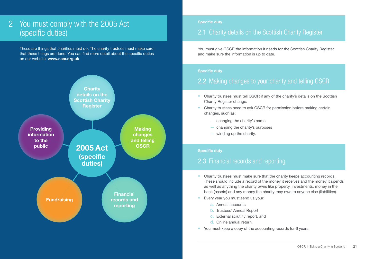## 2 You must comply with the 2005 Act (specific duties)

These are things that charities must do. The charity trustees must make sure that these things are done. You can find more detail about the specific duties on our website, [www.oscr.org.uk](http://www.oscr.org.uk)



#### **Specific duty**

## 2.1 Charity details on the Scottish Charity Register

You must give OSCR the information it needs for the Scottish Charity Register and make sure the information is up to date.

#### **Specific duty**

## 2.2 Making changes to your charity and telling OSCR

- Charity trustees must tell OSCR if any of the charity's details on the Scottish Charity Register change.
- Charity trustees need to ask OSCR for permission before making certain changes, such as:
	- $-$  changing the charity's name
	- changing the charity's purposes
	- $-$  winding up the charity.

#### **Specific duty**

### 2.3 Financial records and reporting

- Charity trustees must make sure that the charity keeps accounting records. These should include a record of the money it receives and the money it spends as well as anything the charity owns like property, investments, money in the bank (assets) and any money the charity may owe to anyone else (liabilities).
- Every year you must send us your:
	- a. Annual accounts
	- b. Trustees' Annual Report
	- c. External scrutiny report, and
	- d. Online annual return.
- You must keep a copy of the accounting records for 6 years.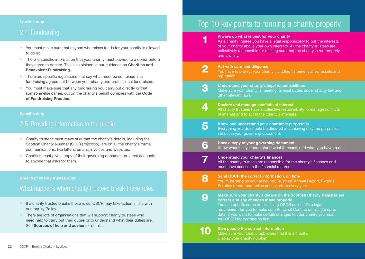#### Specific duty

## 2.4 Fundraising

- You must make sure that anyone who raises funds for your charity is allowed to do so.
- There is specific information that your charity must provide to a donor before they agree to donate. This is explained in our guidance on **Charities and** Benevolent Fundraising.
- There are specific regulations that say what must be contained in a fundraising agreement between your charity and professional fundraisers.
- You must make sure that any fundraising you carry out directly or that someone else carries out on the charity's behalf complies with the Code of Fundraising Practice.

#### Specific duty

## 2.5 Providing information to the public

- Charity trustees must make sure that the charity's details, including the Scottish Charity Number (SC0[zero]xxxxx), are on all the charity's formal communications, like letters, emails, invoices and websites.
- Charities must give a copy of their governing document or latest accounts to anyone that asks for them.

#### Breach of charity trustee duty:

### What happens when charity trustees break these rules

- If a charity trustee breaks these rules, OSCR may take action in line with our Inquiry Policy.
- There are lots of organisations that will support charity trustees who need help to carry out their duties or to understand what their duties are. See **Sources of help and advice** for details.

## Top 10 key points to running a charity properly

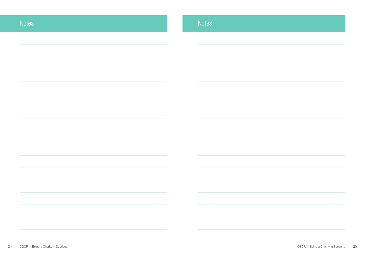| <b>Notes</b> |
|--------------|
|              |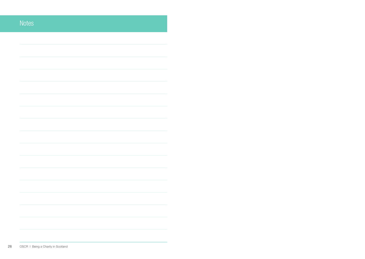| <b>Notes</b> |
|--------------|
|              |
|              |